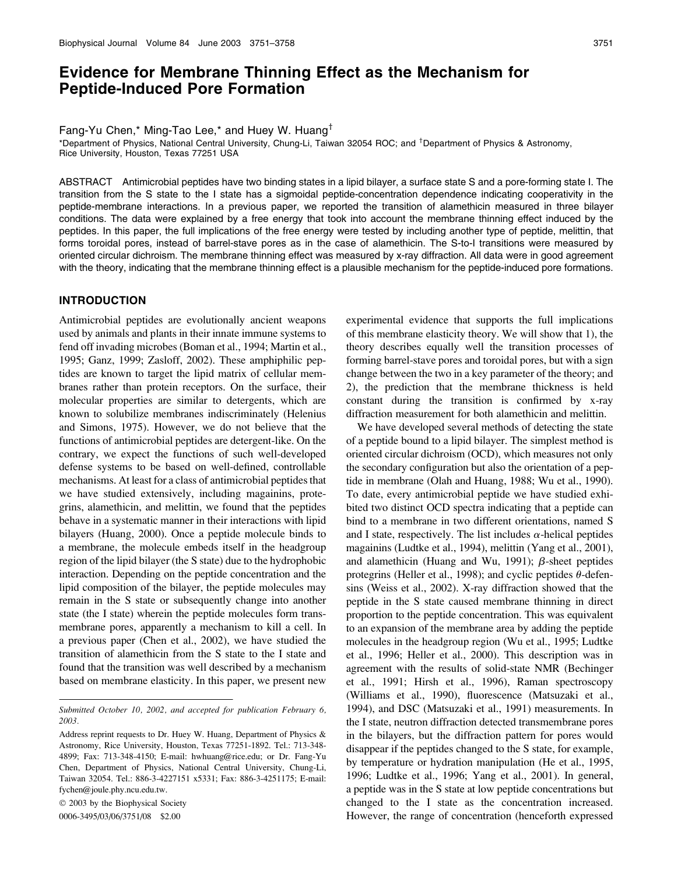# Evidence for Membrane Thinning Effect as the Mechanism for Peptide-Induced Pore Formation

Fang-Yu Chen,\* Ming-Tao Lee,\* and Huey W. Huang<sup>†</sup>

\*Department of Physics, National Central University, Chung-Li, Taiwan 32054 ROC; and <sup>†</sup>Department of Physics & Astronomy, Rice University, Houston, Texas 77251 USA

ABSTRACT Antimicrobial peptides have two binding states in a lipid bilayer, a surface state S and a pore-forming state I. The transition from the S state to the I state has a sigmoidal peptide-concentration dependence indicating cooperativity in the peptide-membrane interactions. In a previous paper, we reported the transition of alamethicin measured in three bilayer conditions. The data were explained by a free energy that took into account the membrane thinning effect induced by the peptides. In this paper, the full implications of the free energy were tested by including another type of peptide, melittin, that forms toroidal pores, instead of barrel-stave pores as in the case of alamethicin. The S-to-I transitions were measured by oriented circular dichroism. The membrane thinning effect was measured by x-ray diffraction. All data were in good agreement with the theory, indicating that the membrane thinning effect is a plausible mechanism for the peptide-induced pore formations.

# INTRODUCTION

Antimicrobial peptides are evolutionally ancient weapons used by animals and plants in their innate immune systems to fend off invading microbes (Boman et al., 1994; Martin et al., 1995; Ganz, 1999; Zasloff, 2002). These amphiphilic peptides are known to target the lipid matrix of cellular membranes rather than protein receptors. On the surface, their molecular properties are similar to detergents, which are known to solubilize membranes indiscriminately (Helenius and Simons, 1975). However, we do not believe that the functions of antimicrobial peptides are detergent-like. On the contrary, we expect the functions of such well-developed defense systems to be based on well-defined, controllable mechanisms. At least for a class of antimicrobial peptides that we have studied extensively, including magainins, protegrins, alamethicin, and melittin, we found that the peptides behave in a systematic manner in their interactions with lipid bilayers (Huang, 2000). Once a peptide molecule binds to a membrane, the molecule embeds itself in the headgroup region of the lipid bilayer (the S state) due to the hydrophobic interaction. Depending on the peptide concentration and the lipid composition of the bilayer, the peptide molecules may remain in the S state or subsequently change into another state (the I state) wherein the peptide molecules form transmembrane pores, apparently a mechanism to kill a cell. In a previous paper (Chen et al., 2002), we have studied the transition of alamethicin from the S state to the I state and found that the transition was well described by a mechanism based on membrane elasticity. In this paper, we present new

2003 by the Biophysical Society

0006-3495/03/06/3751/08 \$2.00

experimental evidence that supports the full implications of this membrane elasticity theory. We will show that 1), the theory describes equally well the transition processes of forming barrel-stave pores and toroidal pores, but with a sign change between the two in a key parameter of the theory; and 2), the prediction that the membrane thickness is held constant during the transition is confirmed by x-ray diffraction measurement for both alamethicin and melittin.

We have developed several methods of detecting the state of a peptide bound to a lipid bilayer. The simplest method is oriented circular dichroism (OCD), which measures not only the secondary configuration but also the orientation of a peptide in membrane (Olah and Huang, 1988; Wu et al., 1990). To date, every antimicrobial peptide we have studied exhibited two distinct OCD spectra indicating that a peptide can bind to a membrane in two different orientations, named S and I state, respectively. The list includes  $\alpha$ -helical peptides magainins (Ludtke et al., 1994), melittin (Yang et al., 2001), and alamethicin (Huang and Wu, 1991);  $\beta$ -sheet peptides protegrins (Heller et al., 1998); and cyclic peptides  $\theta$ -defensins (Weiss et al., 2002). X-ray diffraction showed that the peptide in the S state caused membrane thinning in direct proportion to the peptide concentration. This was equivalent to an expansion of the membrane area by adding the peptide molecules in the headgroup region (Wu et al., 1995; Ludtke et al., 1996; Heller et al., 2000). This description was in agreement with the results of solid-state NMR (Bechinger et al., 1991; Hirsh et al., 1996), Raman spectroscopy (Williams et al., 1990), fluorescence (Matsuzaki et al., 1994), and DSC (Matsuzaki et al., 1991) measurements. In the I state, neutron diffraction detected transmembrane pores in the bilayers, but the diffraction pattern for pores would disappear if the peptides changed to the S state, for example, by temperature or hydration manipulation (He et al., 1995, 1996; Ludtke et al., 1996; Yang et al., 2001). In general, a peptide was in the S state at low peptide concentrations but changed to the I state as the concentration increased. However, the range of concentration (henceforth expressed

Submitted October 10, 2002, and accepted for publication February 6, 2003.

Address reprint requests to Dr. Huey W. Huang, Department of Physics & Astronomy, Rice University, Houston, Texas 77251-1892. Tel.: 713-348- 4899; Fax: 713-348-4150; E-mail: hwhuang@rice.edu; or Dr. Fang-Yu Chen, Department of Physics, National Central University, Chung-Li, Taiwan 32054. Tel.: 886-3-4227151 x5331; Fax: 886-3-4251175; E-mail: fychen@joule.phy.ncu.edu.tw.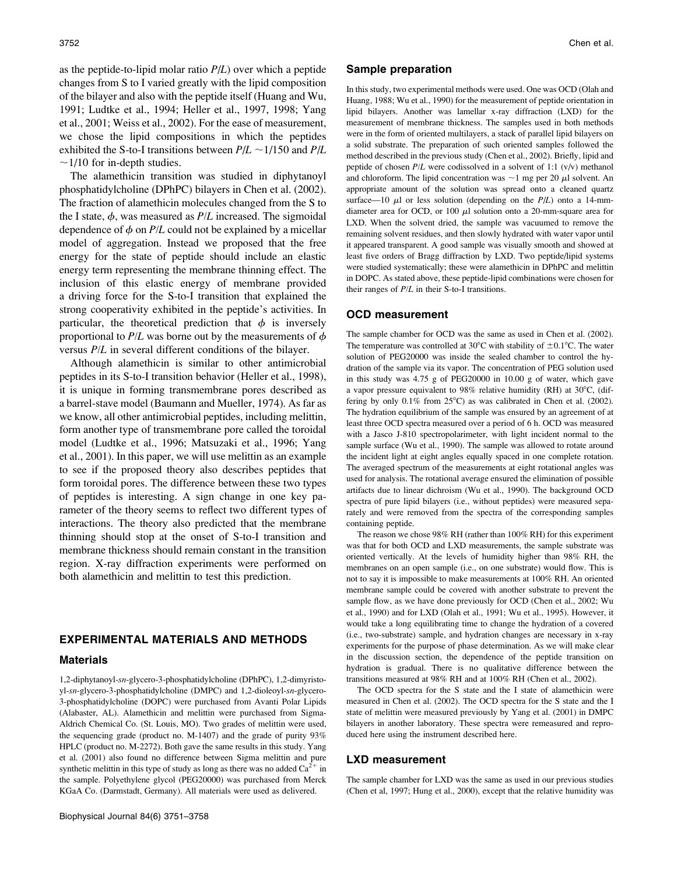as the peptide-to-lipid molar ratio  $P/L$ ) over which a peptide changes from S to I varied greatly with the lipid composition of the bilayer and also with the peptide itself (Huang and Wu, 1991; Ludtke et al., 1994; Heller et al., 1997, 1998; Yang et al., 2001; Weiss et al., 2002). For the ease of measurement, we chose the lipid compositions in which the peptides exhibited the S-to-I transitions between  $P/L \sim 1/150$  and  $P/L$  $\sim$ 1/10 for in-depth studies.

The alamethicin transition was studied in diphytanoyl phosphatidylcholine (DPhPC) bilayers in Chen et al. (2002). The fraction of alamethicin molecules changed from the S to the I state,  $\phi$ , was measured as  $P/L$  increased. The sigmoidal dependence of  $\phi$  on  $P/L$  could not be explained by a micellar model of aggregation. Instead we proposed that the free energy for the state of peptide should include an elastic energy term representing the membrane thinning effect. The inclusion of this elastic energy of membrane provided a driving force for the S-to-I transition that explained the strong cooperativity exhibited in the peptide's activities. In particular, the theoretical prediction that  $\phi$  is inversely proportional to  $P/L$  was borne out by the measurements of  $\phi$ versus P/L in several different conditions of the bilayer.

Although alamethicin is similar to other antimicrobial peptides in its S-to-I transition behavior (Heller et al., 1998), it is unique in forming transmembrane pores described as a barrel-stave model (Baumann and Mueller, 1974). As far as we know, all other antimicrobial peptides, including melittin, form another type of transmembrane pore called the toroidal model (Ludtke et al., 1996; Matsuzaki et al., 1996; Yang et al., 2001). In this paper, we will use melittin as an example to see if the proposed theory also describes peptides that form toroidal pores. The difference between these two types of peptides is interesting. A sign change in one key parameter of the theory seems to reflect two different types of interactions. The theory also predicted that the membrane thinning should stop at the onset of S-to-I transition and membrane thickness should remain constant in the transition region. X-ray diffraction experiments were performed on both alamethicin and melittin to test this prediction.

# EXPERIMENTAL MATERIALS AND METHODS

#### **Materials**

1,2-diphytanoyl-sn-glycero-3-phosphatidylcholine (DPhPC), 1,2-dimyristoyl-sn-glycero-3-phosphatidylcholine (DMPC) and 1,2-dioleoyl-sn-glycero-3-phosphatidylcholine (DOPC) were purchased from Avanti Polar Lipids (Alabaster, AL). Alamethicin and melittin were purchased from Sigma-Aldrich Chemical Co. (St. Louis, MO). Two grades of melittin were used, the sequencing grade (product no. M-1407) and the grade of purity 93% HPLC (product no. M-2272). Both gave the same results in this study. Yang et al. (2001) also found no difference between Sigma melittin and pure synthetic melittin in this type of study as long as there was no added  $Ca^{2+}$  in the sample. Polyethylene glycol (PEG20000) was purchased from Merck KGaA Co. (Darmstadt, Germany). All materials were used as delivered.

#### Sample preparation

In this study, two experimental methods were used. One was OCD (Olah and Huang, 1988; Wu et al., 1990) for the measurement of peptide orientation in lipid bilayers. Another was lamellar x-ray diffraction (LXD) for the measurement of membrane thickness. The samples used in both methods were in the form of oriented multilayers, a stack of parallel lipid bilayers on a solid substrate. The preparation of such oriented samples followed the method described in the previous study (Chen et al., 2002). Briefly, lipid and peptide of chosen P/L were codissolved in a solvent of 1:1 (v/v) methanol and chloroform. The lipid concentration was  $\sim$ 1 mg per 20  $\mu$ l solvent. An appropriate amount of the solution was spread onto a cleaned quartz surface—10  $\mu$ l or less solution (depending on the  $P/L$ ) onto a 14-mmdiameter area for OCD, or 100  $\mu$ l solution onto a 20-mm-square area for LXD. When the solvent dried, the sample was vacuumed to remove the remaining solvent residues, and then slowly hydrated with water vapor until it appeared transparent. A good sample was visually smooth and showed at least five orders of Bragg diffraction by LXD. Two peptide/lipid systems were studied systematically; these were alamethicin in DPhPC and melittin in DOPC. As stated above, these peptide-lipid combinations were chosen for their ranges of P/L in their S-to-I transitions.

#### OCD measurement

The sample chamber for OCD was the same as used in Chen et al. (2002). The temperature was controlled at 30°C with stability of  $\pm 0.1$ °C. The water solution of PEG20000 was inside the sealed chamber to control the hydration of the sample via its vapor. The concentration of PEG solution used in this study was 4.75 g of PEG20000 in 10.00 g of water, which gave a vapor pressure equivalent to 98% relative humidity (RH) at  $30^{\circ}$ C, (differing by only  $0.1\%$  from  $25^{\circ}$ C) as was calibrated in Chen et al. (2002). The hydration equilibrium of the sample was ensured by an agreement of at least three OCD spectra measured over a period of 6 h. OCD was measured with a Jasco J-810 spectropolarimeter, with light incident normal to the sample surface (Wu et al., 1990). The sample was allowed to rotate around the incident light at eight angles equally spaced in one complete rotation. The averaged spectrum of the measurements at eight rotational angles was used for analysis. The rotational average ensured the elimination of possible artifacts due to linear dichroism (Wu et al., 1990). The background OCD spectra of pure lipid bilayers (i.e., without peptides) were measured separately and were removed from the spectra of the corresponding samples containing peptide.

The reason we chose 98% RH (rather than 100% RH) for this experiment was that for both OCD and LXD measurements, the sample substrate was oriented vertically. At the levels of humidity higher than 98% RH, the membranes on an open sample (i.e., on one substrate) would flow. This is not to say it is impossible to make measurements at 100% RH. An oriented membrane sample could be covered with another substrate to prevent the sample flow, as we have done previously for OCD (Chen et al., 2002; Wu et al., 1990) and for LXD (Olah et al., 1991; Wu et al., 1995). However, it would take a long equilibrating time to change the hydration of a covered (i.e., two-substrate) sample, and hydration changes are necessary in x-ray experiments for the purpose of phase determination. As we will make clear in the discussion section, the dependence of the peptide transition on hydration is gradual. There is no qualitative difference between the transitions measured at 98% RH and at 100% RH (Chen et al., 2002).

The OCD spectra for the S state and the I state of alamethicin were measured in Chen et al. (2002). The OCD spectra for the S state and the I state of melittin were measured previously by Yang et al. (2001) in DMPC bilayers in another laboratory. These spectra were remeasured and reproduced here using the instrument described here.

#### LXD measurement

The sample chamber for LXD was the same as used in our previous studies (Chen et al, 1997; Hung et al., 2000), except that the relative humidity was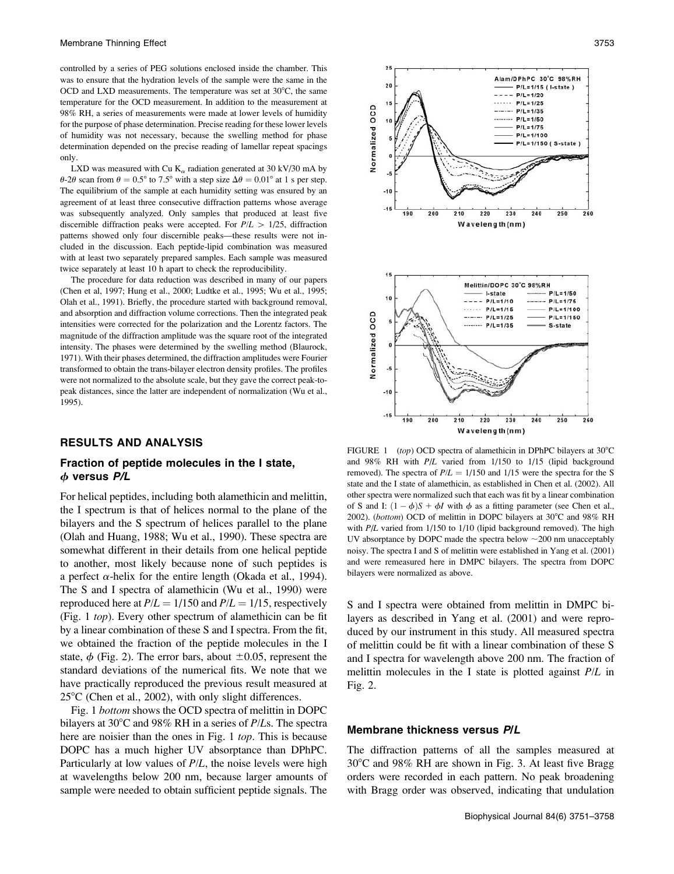controlled by a series of PEG solutions enclosed inside the chamber. This was to ensure that the hydration levels of the sample were the same in the OCD and LXD measurements. The temperature was set at  $30^{\circ}$ C, the same temperature for the OCD measurement. In addition to the measurement at 98% RH, a series of measurements were made at lower levels of humidity for the purpose of phase determination. Precise reading for these lower levels of humidity was not necessary, because the swelling method for phase determination depended on the precise reading of lamellar repeat spacings only.

LXD was measured with Cu K<sub> $\alpha$ </sub> radiation generated at 30 kV/30 mA by  $\theta$ -2 $\theta$  scan from  $\theta = 0.5^{\circ}$  to 7.5° with a step size  $\Delta \theta = 0.01^{\circ}$  at 1 s per step. The equilibrium of the sample at each humidity setting was ensured by an agreement of at least three consecutive diffraction patterns whose average was subsequently analyzed. Only samples that produced at least five discernible diffraction peaks were accepted. For  $P/L > 1/25$ , diffraction patterns showed only four discernible peaks—these results were not included in the discussion. Each peptide-lipid combination was measured with at least two separately prepared samples. Each sample was measured twice separately at least 10 h apart to check the reproducibility.

The procedure for data reduction was described in many of our papers (Chen et al, 1997; Hung et al., 2000; Ludtke et al., 1995; Wu et al., 1995; Olah et al., 1991). Briefly, the procedure started with background removal, and absorption and diffraction volume corrections. Then the integrated peak intensities were corrected for the polarization and the Lorentz factors. The magnitude of the diffraction amplitude was the square root of the integrated intensity. The phases were determined by the swelling method (Blaurock, 1971). With their phases determined, the diffraction amplitudes were Fourier transformed to obtain the trans-bilayer electron density profiles. The profiles were not normalized to the absolute scale, but they gave the correct peak-topeak distances, since the latter are independent of normalization (Wu et al., 1995).

## RESULTS AND ANALYSIS

## Fraction of peptide molecules in the I state,  $\phi$  versus P/L

For helical peptides, including both alamethicin and melittin, the I spectrum is that of helices normal to the plane of the bilayers and the S spectrum of helices parallel to the plane (Olah and Huang, 1988; Wu et al., 1990). These spectra are somewhat different in their details from one helical peptide to another, most likely because none of such peptides is a perfect  $\alpha$ -helix for the entire length (Okada et al., 1994). The S and I spectra of alamethicin (Wu et al., 1990) were reproduced here at  $P/L = 1/150$  and  $P/L = 1/15$ , respectively (Fig. 1 top). Every other spectrum of alamethicin can be fit by a linear combination of these S and I spectra. From the fit, we obtained the fraction of the peptide molecules in the I state,  $\phi$  (Fig. 2). The error bars, about  $\pm 0.05$ , represent the standard deviations of the numerical fits. We note that we have practically reproduced the previous result measured at  $25^{\circ}$ C (Chen et al., 2002), with only slight differences.

Fig. 1 bottom shows the OCD spectra of melittin in DOPC bilayers at 30 $\degree$ C and 98% RH in a series of P/Ls. The spectra here are noisier than the ones in Fig. 1 top. This is because DOPC has a much higher UV absorptance than DPhPC. Particularly at low values of  $P/L$ , the noise levels were high at wavelengths below 200 nm, because larger amounts of sample were needed to obtain sufficient peptide signals. The



FIGURE 1 (top) OCD spectra of alamethicin in DPhPC bilayers at  $30^{\circ}$ C and 98% RH with P/L varied from 1/150 to 1/15 (lipid background removed). The spectra of  $P/L = 1/150$  and 1/15 were the spectra for the S state and the I state of alamethicin, as established in Chen et al. (2002). All other spectra were normalized such that each was fit by a linear combination of S and I:  $(1 - \phi)S + \phi I$  with  $\phi$  as a fitting parameter (see Chen et al., 2002). (bottom) OCD of melittin in DOPC bilayers at  $30^{\circ}$ C and  $98\%$  RH with P/L varied from 1/150 to 1/10 (lipid background removed). The high UV absorptance by DOPC made the spectra below  $\sim$ 200 nm unacceptably noisy. The spectra I and S of melittin were established in Yang et al. (2001) and were remeasured here in DMPC bilayers. The spectra from DOPC bilayers were normalized as above.

S and I spectra were obtained from melittin in DMPC bilayers as described in Yang et al. (2001) and were reproduced by our instrument in this study. All measured spectra of melittin could be fit with a linear combination of these S and I spectra for wavelength above 200 nm. The fraction of melittin molecules in the I state is plotted against  $P/L$  in Fig. 2.

# Membrane thickness versus P/L

The diffraction patterns of all the samples measured at  $30^{\circ}$ C and 98% RH are shown in Fig. 3. At least five Bragg orders were recorded in each pattern. No peak broadening with Bragg order was observed, indicating that undulation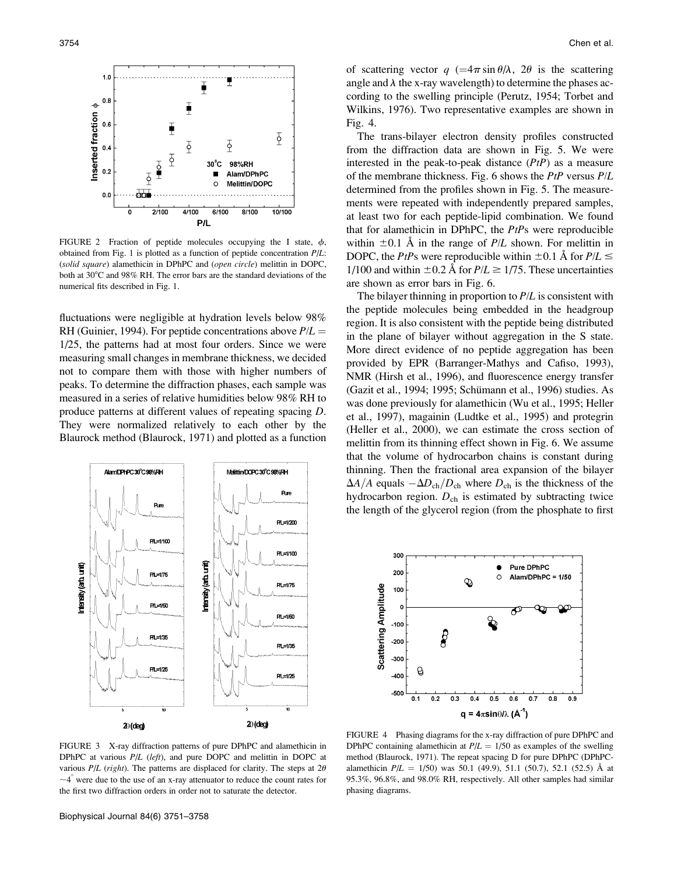

FIGURE 2 Fraction of peptide molecules occupying the I state,  $\phi$ , obtained from Fig. 1 is plotted as a function of peptide concentration  $P/L$ : (solid square) alamethicin in DPhPC and (open circle) melittin in DOPC, both at 30°C and 98% RH. The error bars are the standard deviations of the numerical fits described in Fig. 1.

fluctuations were negligible at hydration levels below 98% RH (Guinier, 1994). For peptide concentrations above  $P/L =$ 1/25, the patterns had at most four orders. Since we were measuring small changes in membrane thickness, we decided not to compare them with those with higher numbers of peaks. To determine the diffraction phases, each sample was measured in a series of relative humidities below 98% RH to produce patterns at different values of repeating spacing D. They were normalized relatively to each other by the Blaurock method (Blaurock, 1971) and plotted as a function



of scattering vector  $q (=4\pi \sin \theta/\lambda, 2\theta)$  is the scattering angle and  $\lambda$  the x-ray wavelength) to determine the phases according to the swelling principle (Perutz, 1954; Torbet and Wilkins, 1976). Two representative examples are shown in Fig. 4.

The trans-bilayer electron density profiles constructed from the diffraction data are shown in Fig. 5. We were interested in the peak-to-peak distance  $(PtP)$  as a measure of the membrane thickness. Fig. 6 shows the  $PtP$  versus  $P/L$ determined from the profiles shown in Fig. 5. The measurements were repeated with independently prepared samples, at least two for each peptide-lipid combination. We found that for alamethicin in DPhPC, the  $PtPs$  were reproducible within  $\pm 0.1$  Å in the range of P/L shown. For melittin in DOPC, the PtPs were reproducible within  $\pm 0.1$  Å for  $P/L \leq$ 1/100 and within  $\pm 0.2$  Å for  $P/L \ge 1/75$ . These uncertainties are shown as error bars in Fig. 6.

The bilayer thinning in proportion to  $P/L$  is consistent with the peptide molecules being embedded in the headgroup region. It is also consistent with the peptide being distributed in the plane of bilayer without aggregation in the S state. More direct evidence of no peptide aggregation has been provided by EPR (Barranger-Mathys and Cafiso, 1993), NMR (Hirsh et al., 1996), and fluorescence energy transfer (Gazit et al., 1994; 1995; Schümann et al., 1996) studies. As was done previously for alamethicin (Wu et al., 1995; Heller et al., 1997), magainin (Ludtke et al., 1995) and protegrin (Heller et al., 2000), we can estimate the cross section of melittin from its thinning effect shown in Fig. 6. We assume that the volume of hydrocarbon chains is constant during thinning. Then the fractional area expansion of the bilayer  $\Delta A/A$  equals  $-\Delta D_{ch}/D_{ch}$  where  $D_{ch}$  is the thickness of the hydrocarbon region.  $D_{ch}$  is estimated by subtracting twice the length of the glycerol region (from the phosphate to first



FIGURE 3 X-ray diffraction patterns of pure DPhPC and alamethicin in DPhPC at various P/L (left), and pure DOPC and melittin in DOPC at various  $P/L$  (right). The patterns are displaced for clarity. The steps at  $2\theta$  $\sim$ 4<sup> $\degree$ </sup> were due to the use of an x-ray attenuator to reduce the count rates for the first two diffraction orders in order not to saturate the detector.

FIGURE 4 Phasing diagrams for the x-ray diffraction of pure DPhPC and DPhPC containing alamethicin at  $P/L = 1/50$  as examples of the swelling method (Blaurock, 1971). The repeat spacing D for pure DPhPC (DPhPCalamethicin  $P/L = 1/50$ ) was 50.1 (49.9), 51.1 (50.7), 52.1 (52.5) Å at 95.3%, 96.8%, and 98.0% RH, respectively. All other samples had similar phasing diagrams.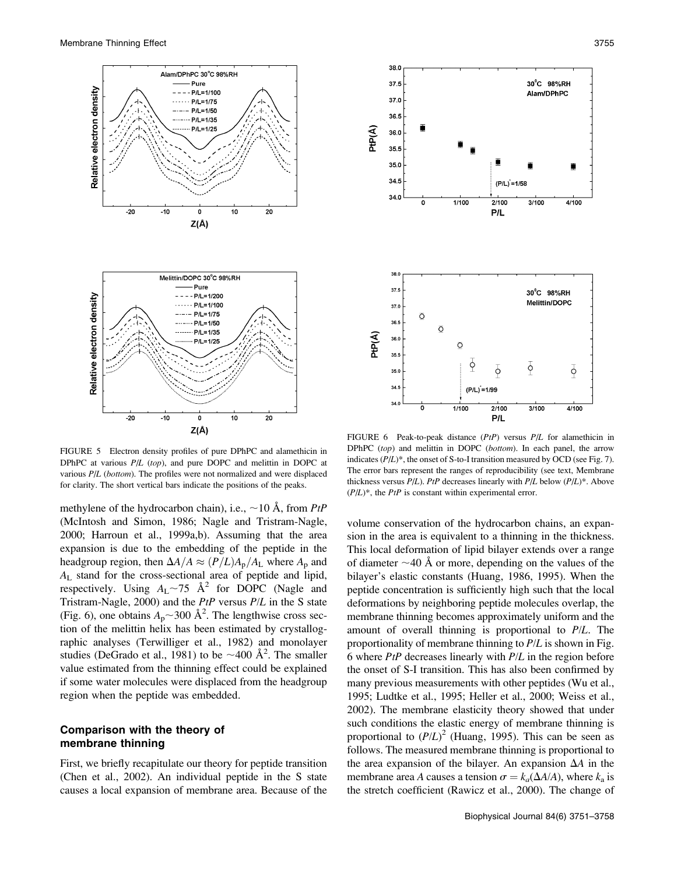





38.0

37.5

37.0

36.5

36.0 35.5 35.0 34.5

34.0

PtP(A)

FIGURE 5 Electron density profiles of pure DPhPC and alamethicin in DPhPC at various P/L (top), and pure DOPC and melittin in DOPC at various P/L (bottom). The profiles were not normalized and were displaced for clarity. The short vertical bars indicate the positions of the peaks.

methylene of the hydrocarbon chain), i.e.,  $\sim$ 10 Å, from *PtP* (McIntosh and Simon, 1986; Nagle and Tristram-Nagle, 2000; Harroun et al., 1999a,b). Assuming that the area expansion is due to the embedding of the peptide in the headgroup region, then  $\Delta A/A \approx (P/L)A_{p}/A_{L}$  where  $A_{p}$  and A<sup>L</sup> stand for the cross-sectional area of peptide and lipid, respectively. Using  $A_L \sim 75$   $\AA^2$  for DOPC (Nagle and Tristram-Nagle, 2000) and the  $PtP$  versus  $P/L$  in the S state (Fig. 6), one obtains  $A_p \sim 300 \text{ Å}^2$ . The lengthwise cross section of the melittin helix has been estimated by crystallographic analyses (Terwilliger et al., 1982) and monolayer studies (DeGrado et al., 1981) to be  $\sim$ 400 Å<sup>2</sup>. The smaller value estimated from the thinning effect could be explained if some water molecules were displaced from the headgroup region when the peptide was embedded.

# Comparison with the theory of membrane thinning

First, we briefly recapitulate our theory for peptide transition (Chen et al., 2002). An individual peptide in the S state causes a local expansion of membrane area. Because of the

FIGURE 6 Peak-to-peak distance  $(PtP)$  versus  $P/L$  for alamethicin in DPhPC (top) and melittin in DOPC (bottom). In each panel, the arrow indicates  $(P/L)^*$ , the onset of S-to-I transition measured by OCD (see Fig. 7). The error bars represent the ranges of reproducibility (see text, Membrane thickness versus  $P/L$ ). PtP decreases linearly with  $P/L$  below  $(P/L)^*$ . Above  $(P/L)^*$ , the *PtP* is constant within experimental error.

volume conservation of the hydrocarbon chains, an expansion in the area is equivalent to a thinning in the thickness. This local deformation of lipid bilayer extends over a range of diameter  $\sim$ 40 Å or more, depending on the values of the bilayer's elastic constants (Huang, 1986, 1995). When the peptide concentration is sufficiently high such that the local deformations by neighboring peptide molecules overlap, the membrane thinning becomes approximately uniform and the amount of overall thinning is proportional to  $P/L$ . The proportionality of membrane thinning to  $P/L$  is shown in Fig. 6 where  $PtP$  decreases linearly with  $P/L$  in the region before the onset of S-I transition. This has also been confirmed by many previous measurements with other peptides (Wu et al., 1995; Ludtke et al., 1995; Heller et al., 2000; Weiss et al., 2002). The membrane elasticity theory showed that under such conditions the elastic energy of membrane thinning is proportional to  $(P/L)^2$  (Huang, 1995). This can be seen as follows. The measured membrane thinning is proportional to the area expansion of the bilayer. An expansion  $\Delta A$  in the membrane area A causes a tension  $\sigma = k_a(\Delta A/A)$ , where  $k_a$  is the stretch coefficient (Rawicz et al., 2000). The change of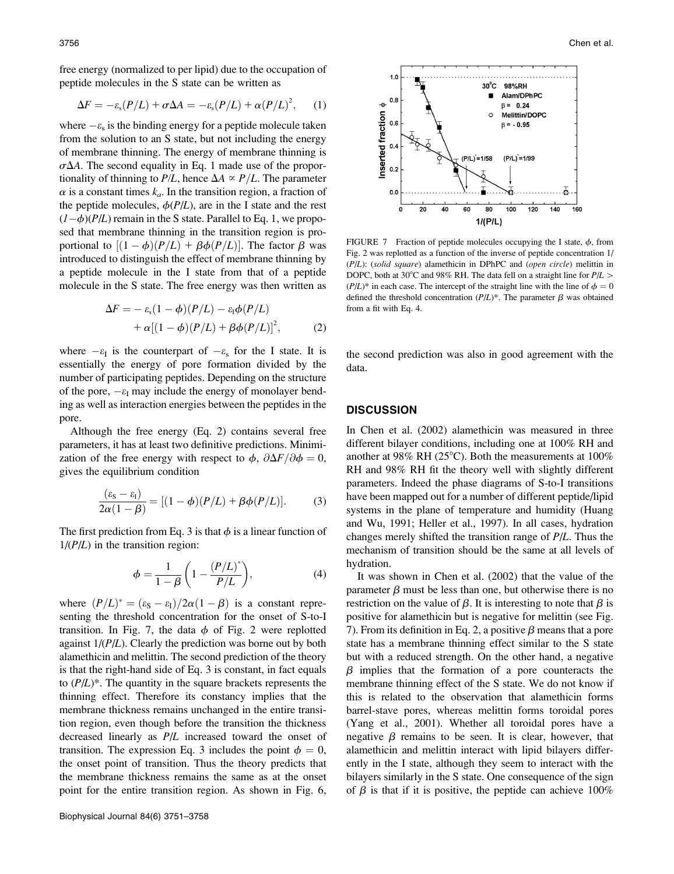free energy (normalized to per lipid) due to the occupation of peptide molecules in the S state can be written as

$$
\Delta F = -\varepsilon_{\rm s}(P/L) + \sigma \Delta A = -\varepsilon_{\rm s}(P/L) + \alpha (P/L)^2, \quad (1)
$$

where  $-\varepsilon$ <sub>s</sub> is the binding energy for a peptide molecule taken from the solution to an S state, but not including the energy of membrane thinning. The energy of membrane thinning is  $\sigma\Delta A$ . The second equality in Eq. 1 made use of the proportionality of thinning to  $P/L$ , hence  $\Delta A \propto P/L$ . The parameter  $\alpha$  is a constant times  $k_a$ . In the transition region, a fraction of the peptide molecules,  $\phi(P/L)$ , are in the I state and the rest  $(I-\phi)(P/L)$  remain in the S state. Parallel to Eq. 1, we proposed that membrane thinning in the transition region is proportional to  $[(1 - \phi)(P/L) + \beta\phi(P/L)]$ . The factor  $\beta$  was introduced to distinguish the effect of membrane thinning by a peptide molecule in the I state from that of a peptide molecule in the S state. The free energy was then written as

$$
\Delta F = -\varepsilon_{\rm s} (1 - \phi)(P/L) - \varepsilon_{\rm i} \phi(P/L)
$$

$$
+ \alpha [(1 - \phi)(P/L) + \beta \phi(P/L)]^2, \tag{2}
$$

where  $-\varepsilon_1$  is the counterpart of  $-\varepsilon_s$  for the I state. It is essentially the energy of pore formation divided by the number of participating peptides. Depending on the structure of the pore,  $-\varepsilon_I$  may include the energy of monolayer bending as well as interaction energies between the peptides in the pore.

Although the free energy (Eq. 2) contains several free parameters, it has at least two definitive predictions. Minimization of the free energy with respect to  $\phi$ ,  $\partial \Delta F/\partial \phi=0$ , gives the equilibrium condition

$$
\frac{(\varepsilon_{\rm S} - \varepsilon_{\rm I})}{2\alpha(1 - \beta)} = [(1 - \phi)(P/L) + \beta\phi(P/L)].
$$
 (3)

The first prediction from Eq. 3 is that  $\phi$  is a linear function of  $1/(P/L)$  in the transition region:

$$
\phi = \frac{1}{1 - \beta} \left( 1 - \frac{(P/L)^{*}}{P/L} \right),\tag{4}
$$

where  $(P/L)^* = (\varepsilon_S - \varepsilon_I)/2\alpha(1 - \beta)$  is a constant representing the threshold concentration for the onset of S-to-I transition. In Fig. 7, the data  $\phi$  of Fig. 2 were replotted against  $1/(P/L)$ . Clearly the prediction was borne out by both alamethicin and melittin. The second prediction of the theory is that the right-hand side of Eq. 3 is constant, in fact equals to  $(P/L)^*$ . The quantity in the square brackets represents the thinning effect. Therefore its constancy implies that the membrane thickness remains unchanged in the entire transition region, even though before the transition the thickness decreased linearly as P/L increased toward the onset of transition. The expression Eq. 3 includes the point  $\phi = 0$ , the onset point of transition. Thus the theory predicts that the membrane thickness remains the same as at the onset point for the entire transition region. As shown in Fig. 6,



FIGURE 7 Fraction of peptide molecules occupying the I state,  $\phi$ , from Fig. 2 was replotted as a function of the inverse of peptide concentration 1/ (P/L): (solid square) alamethicin in DPhPC and (open circle) melittin in DOPC, both at 30°C and 98% RH. The data fell on a straight line for  $P/L >$  $(P/L)^*$  in each case. The intercept of the straight line with the line of  $\phi = 0$ defined the threshold concentration  $(P/L)^*$ . The parameter  $\beta$  was obtained from a fit with Eq. 4.

the second prediction was also in good agreement with the data.

## **DISCUSSION**

In Chen et al. (2002) alamethicin was measured in three different bilayer conditions, including one at 100% RH and another at 98% RH (25 $^{\circ}$ C). Both the measurements at 100% RH and 98% RH fit the theory well with slightly different parameters. Indeed the phase diagrams of S-to-I transitions have been mapped out for a number of different peptide/lipid systems in the plane of temperature and humidity (Huang and Wu, 1991; Heller et al., 1997). In all cases, hydration changes merely shifted the transition range of  $P/L$ . Thus the mechanism of transition should be the same at all levels of hydration.

It was shown in Chen et al. (2002) that the value of the parameter  $\beta$  must be less than one, but otherwise there is no restriction on the value of  $\beta$ . It is interesting to note that  $\beta$  is positive for alamethicin but is negative for melittin (see Fig. 7). From its definition in Eq. 2, a positive  $\beta$  means that a pore state has a membrane thinning effect similar to the S state but with a reduced strength. On the other hand, a negative  $\beta$  implies that the formation of a pore counteracts the membrane thinning effect of the S state. We do not know if this is related to the observation that alamethicin forms barrel-stave pores, whereas melittin forms toroidal pores (Yang et al., 2001). Whether all toroidal pores have a negative  $\beta$  remains to be seen. It is clear, however, that alamethicin and melittin interact with lipid bilayers differently in the I state, although they seem to interact with the bilayers similarly in the S state. One consequence of the sign of  $\beta$  is that if it is positive, the peptide can achieve 100%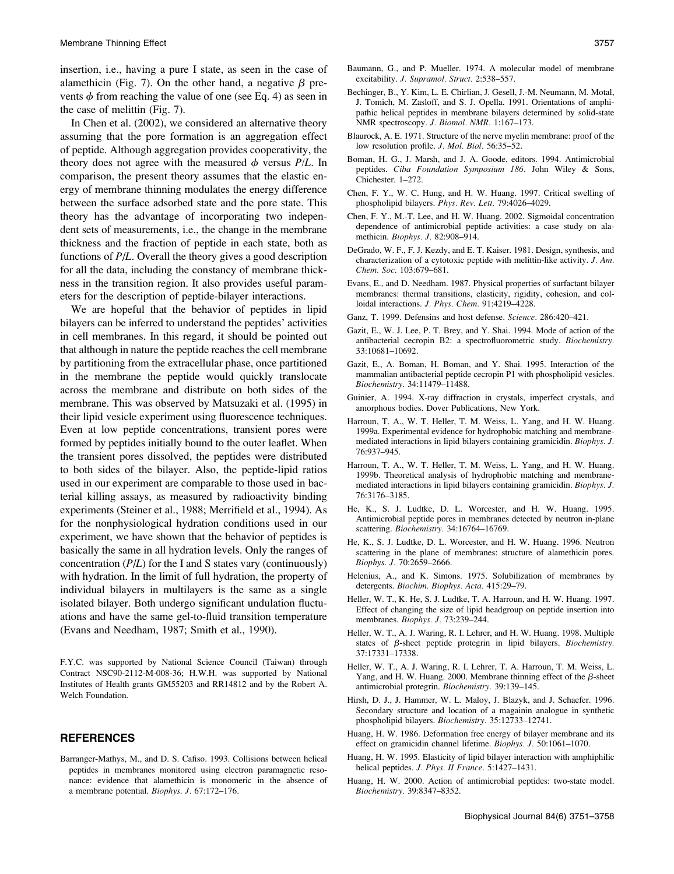insertion, i.e., having a pure I state, as seen in the case of alamethicin (Fig. 7). On the other hand, a negative  $\beta$  prevents  $\phi$  from reaching the value of one (see Eq. 4) as seen in the case of melittin (Fig. 7).

In Chen et al. (2002), we considered an alternative theory assuming that the pore formation is an aggregation effect of peptide. Although aggregation provides cooperativity, the theory does not agree with the measured  $\phi$  versus P/L. In comparison, the present theory assumes that the elastic energy of membrane thinning modulates the energy difference between the surface adsorbed state and the pore state. This theory has the advantage of incorporating two independent sets of measurements, i.e., the change in the membrane thickness and the fraction of peptide in each state, both as functions of  $P/L$ . Overall the theory gives a good description for all the data, including the constancy of membrane thickness in the transition region. It also provides useful parameters for the description of peptide-bilayer interactions.

We are hopeful that the behavior of peptides in lipid bilayers can be inferred to understand the peptides' activities in cell membranes. In this regard, it should be pointed out that although in nature the peptide reaches the cell membrane by partitioning from the extracellular phase, once partitioned in the membrane the peptide would quickly translocate across the membrane and distribute on both sides of the membrane. This was observed by Matsuzaki et al. (1995) in their lipid vesicle experiment using fluorescence techniques. Even at low peptide concentrations, transient pores were formed by peptides initially bound to the outer leaflet. When the transient pores dissolved, the peptides were distributed to both sides of the bilayer. Also, the peptide-lipid ratios used in our experiment are comparable to those used in bacterial killing assays, as measured by radioactivity binding experiments (Steiner et al., 1988; Merrifield et al., 1994). As for the nonphysiological hydration conditions used in our experiment, we have shown that the behavior of peptides is basically the same in all hydration levels. Only the ranges of concentration  $(P/L)$  for the I and S states vary (continuously) with hydration. In the limit of full hydration, the property of individual bilayers in multilayers is the same as a single isolated bilayer. Both undergo significant undulation fluctuations and have the same gel-to-fluid transition temperature (Evans and Needham, 1987; Smith et al., 1990).

F.Y.C. was supported by National Science Council (Taiwan) through Contract NSC90-2112-M-008-36; H.W.H. was supported by National Institutes of Health grants GM55203 and RR14812 and by the Robert A. Welch Foundation.

### REFERENCES

Barranger-Mathys, M., and D. S. Cafiso. 1993. Collisions between helical peptides in membranes monitored using electron paramagnetic resonance: evidence that alamethicin is monomeric in the absence of a membrane potential. Biophys. J. 67:172–176.

- Baumann, G., and P. Mueller. 1974. A molecular model of membrane excitability. J. Supramol. Struct. 2:538-557.
- Bechinger, B., Y. Kim, L. E. Chirlian, J. Gesell, J.-M. Neumann, M. Motal, J. Tomich, M. Zasloff, and S. J. Opella. 1991. Orientations of amphipathic helical peptides in membrane bilayers determined by solid-state NMR spectroscopy. J. Biomol. NMR. 1:167–173.
- Blaurock, A. E. 1971. Structure of the nerve myelin membrane: proof of the low resolution profile. J. Mol. Biol. 56:35–52.
- Boman, H. G., J. Marsh, and J. A. Goode, editors. 1994. Antimicrobial peptides. Ciba Foundation Symposium 186. John Wiley & Sons, Chichester. 1–272.
- Chen, F. Y., W. C. Hung, and H. W. Huang. 1997. Critical swelling of phospholipid bilayers. Phys. Rev. Lett. 79:4026–4029.
- Chen, F. Y., M.-T. Lee, and H. W. Huang. 2002. Sigmoidal concentration dependence of antimicrobial peptide activities: a case study on alamethicin. Biophys. J. 82:908–914.
- DeGrado, W. F., F. J. Kezdy, and E. T. Kaiser. 1981. Design, synthesis, and characterization of a cytotoxic peptide with melittin-like activity. J. Am. Chem. Soc. 103:679–681.
- Evans, E., and D. Needham. 1987. Physical properties of surfactant bilayer membranes: thermal transitions, elasticity, rigidity, cohesion, and colloidal interactions. *J. Phys. Chem.* 91:4219–4228.
- Ganz, T. 1999. Defensins and host defense. Science. 286:420–421.
- Gazit, E., W. J. Lee, P. T. Brey, and Y. Shai. 1994. Mode of action of the antibacterial cecropin B2: a spectrofluorometric study. Biochemistry. 33:10681–10692.
- Gazit, E., A. Boman, H. Boman, and Y. Shai. 1995. Interaction of the mammalian antibacterial peptide cecropin P1 with phospholipid vesicles. Biochemistry. 34:11479–11488.
- Guinier, A. 1994. X-ray diffraction in crystals, imperfect crystals, and amorphous bodies. Dover Publications, New York.
- Harroun, T. A., W. T. Heller, T. M. Weiss, L. Yang, and H. W. Huang. 1999a. Experimental evidence for hydrophobic matching and membranemediated interactions in lipid bilayers containing gramicidin. Biophys. J. 76:937–945.
- Harroun, T. A., W. T. Heller, T. M. Weiss, L. Yang, and H. W. Huang. 1999b. Theoretical analysis of hydrophobic matching and membranemediated interactions in lipid bilayers containing gramicidin. Biophys. J. 76:3176–3185.
- He, K., S. J. Ludtke, D. L. Worcester, and H. W. Huang. 1995. Antimicrobial peptide pores in membranes detected by neutron in-plane scattering. Biochemistry. 34:16764–16769.
- He, K., S. J. Ludtke, D. L. Worcester, and H. W. Huang. 1996. Neutron scattering in the plane of membranes: structure of alamethicin pores. Biophys. J. 70:2659–2666.
- Helenius, A., and K. Simons. 1975. Solubilization of membranes by detergents. Biochim. Biophys. Acta. 415:29–79.
- Heller, W. T., K. He, S. J. Ludtke, T. A. Harroun, and H. W. Huang. 1997. Effect of changing the size of lipid headgroup on peptide insertion into membranes. Biophys. J. 73:239–244.
- Heller, W. T., A. J. Waring, R. I. Lehrer, and H. W. Huang. 1998. Multiple states of  $\beta$ -sheet peptide protegrin in lipid bilayers. Biochemistry. 37:17331–17338.
- Heller, W. T., A. J. Waring, R. I. Lehrer, T. A. Harroun, T. M. Weiss, L. Yang, and H. W. Huang. 2000. Membrane thinning effect of the  $\beta$ -sheet antimicrobial protegrin. Biochemistry. 39:139–145.
- Hirsh, D. J., J. Hammer, W. L. Maloy, J. Blazyk, and J. Schaefer. 1996. Secondary structure and location of a magainin analogue in synthetic phospholipid bilayers. Biochemistry. 35:12733–12741.
- Huang, H. W. 1986. Deformation free energy of bilayer membrane and its effect on gramicidin channel lifetime. Biophys. J. 50:1061–1070.
- Huang, H. W. 1995. Elasticity of lipid bilayer interaction with amphiphilic helical peptides. J. Phys. II France. 5:1427-1431.
- Huang, H. W. 2000. Action of antimicrobial peptides: two-state model. Biochemistry. 39:8347–8352.